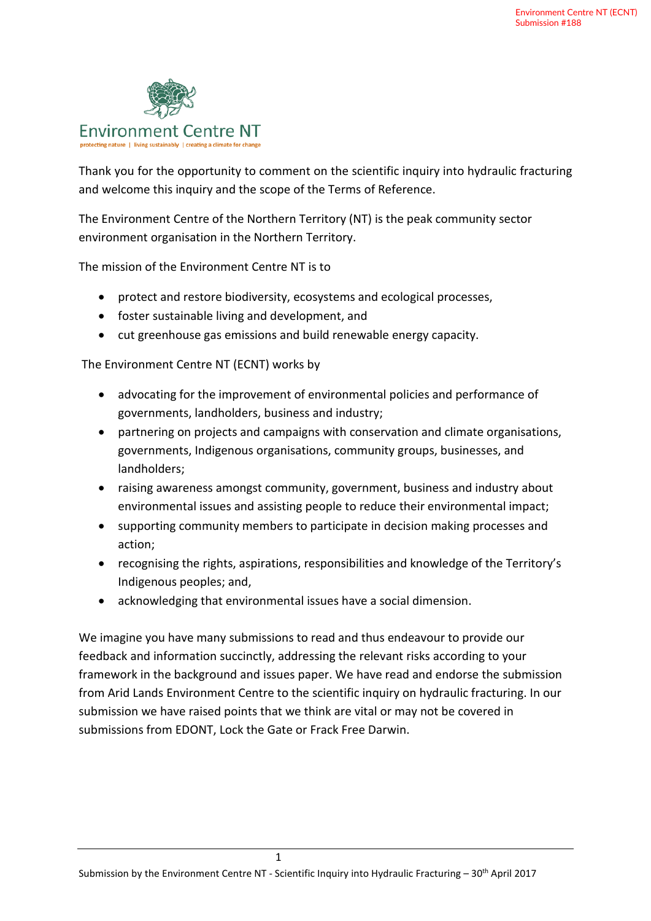

Thank you for the opportunity to comment on the scientific inquiry into hydraulic fracturing and welcome this inquiry and the scope of the Terms of Reference.

The Environment Centre of the Northern Territory (NT) is the peak community sector environment organisation in the Northern Territory.

The mission of the Environment Centre NT is to

- protect and restore biodiversity, ecosystems and ecological processes,
- foster sustainable living and development, and
- cut greenhouse gas emissions and build renewable energy capacity.

The Environment Centre NT (ECNT) works by

- advocating for the improvement of environmental policies and performance of governments, landholders, business and industry;
- partnering on projects and campaigns with conservation and climate organisations, governments, Indigenous organisations, community groups, businesses, and landholders;
- raising awareness amongst community, government, business and industry about environmental issues and assisting people to reduce their environmental impact;
- supporting community members to participate in decision making processes and action;
- recognising the rights, aspirations, responsibilities and knowledge of the Territory's Indigenous peoples; and,
- acknowledging that environmental issues have a social dimension.

We imagine you have many submissions to read and thus endeavour to provide our feedback and information succinctly, addressing the relevant risks according to your framework in the background and issues paper. We have read and endorse the submission from Arid Lands Environment Centre to the scientific inquiry on hydraulic fracturing. In our submission we have raised points that we think are vital or may not be covered in submissions from EDONT, Lock the Gate or Frack Free Darwin.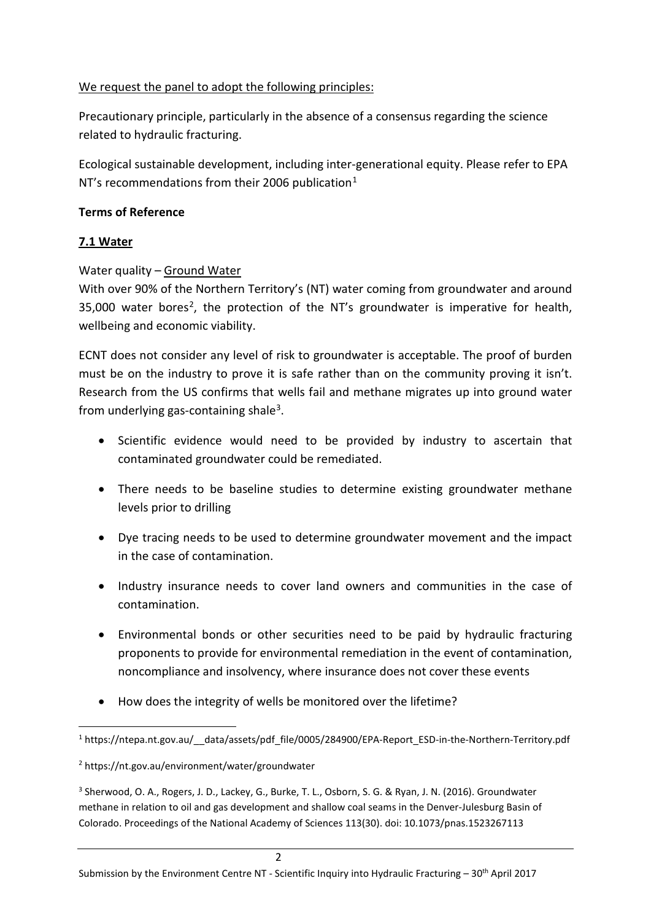### We request the panel to adopt the following principles:

Precautionary principle, particularly in the absence of a consensus regarding the science related to hydraulic fracturing.

Ecological sustainable development, including inter-generational equity. Please refer to EPA NT's recommendations from their 2006 publication<sup>[1](#page-1-0)</sup>

### **Terms of Reference**

## **7.1 Water**

Water quality - Ground Water

With over 90% of the Northern Territory's (NT) water coming from groundwater and around  $35,000$  water bores<sup>[2](#page-1-1)</sup>, the protection of the NT's groundwater is imperative for health, wellbeing and economic viability.

ECNT does not consider any level of risk to groundwater is acceptable. The proof of burden must be on the industry to prove it is safe rather than on the community proving it isn't. Research from the US confirms that wells fail and methane migrates up into ground water from underlying gas-containing shale<sup>3</sup>.

- Scientific evidence would need to be provided by industry to ascertain that contaminated groundwater could be remediated.
- There needs to be baseline studies to determine existing groundwater methane levels prior to drilling
- Dye tracing needs to be used to determine groundwater movement and the impact in the case of contamination.
- Industry insurance needs to cover land owners and communities in the case of contamination.
- Environmental bonds or other securities need to be paid by hydraulic fracturing proponents to provide for environmental remediation in the event of contamination, noncompliance and insolvency, where insurance does not cover these events
- How does the integrity of wells be monitored over the lifetime?

<span id="page-1-2"></span><sup>3</sup> Sherwood, O. A., Rogers, J. D., Lackey, G., Burke, T. L., Osborn, S. G. & Ryan, J. N. (2016). Groundwater methane in relation to oil and gas development and shallow coal seams in the Denver-Julesburg Basin of Colorado. Proceedings of the National Academy of Sciences 113(30). doi: 10.1073/pnas.1523267113

<span id="page-1-0"></span> <sup>1</sup> https://ntepa.nt.gov.au/\_\_data/assets/pdf\_file/0005/284900/EPA-Report\_ESD-in-the-Northern-Territory.pdf

<span id="page-1-1"></span><sup>2</sup> https://nt.gov.au/environment/water/groundwater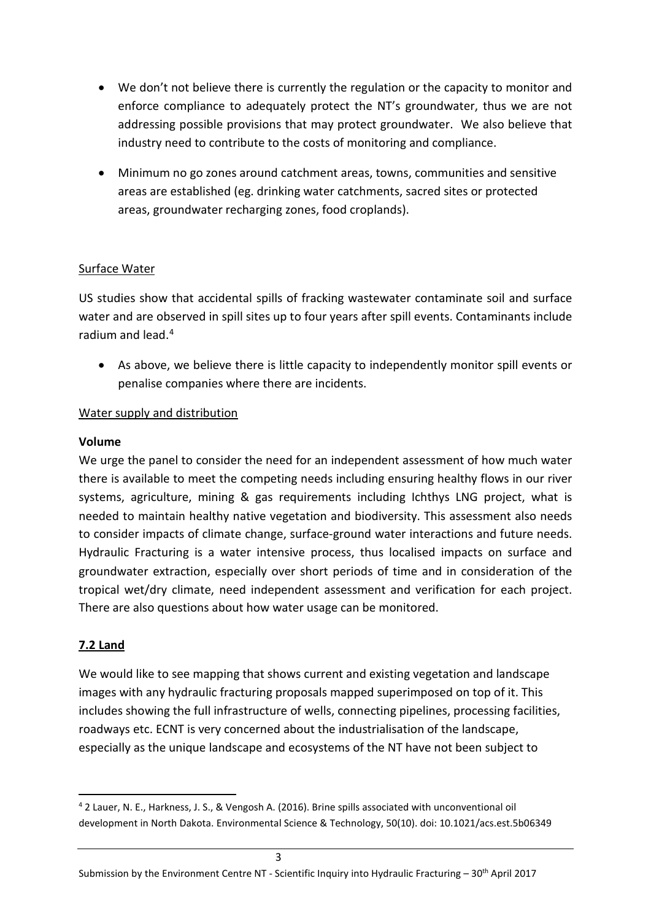- We don't not believe there is currently the regulation or the capacity to monitor and enforce compliance to adequately protect the NT's groundwater, thus we are not addressing possible provisions that may protect groundwater. We also believe that industry need to contribute to the costs of monitoring and compliance.
- Minimum no go zones around catchment areas, towns, communities and sensitive areas are established (eg. drinking water catchments, sacred sites or protected areas, groundwater recharging zones, food croplands).

#### Surface Water

US studies show that accidental spills of fracking wastewater contaminate soil and surface water and are observed in spill sites up to four years after spill events. Contaminants include radium and lead.[4](#page-2-0)

• As above, we believe there is little capacity to independently monitor spill events or penalise companies where there are incidents.

### Water supply and distribution

#### **Volume**

We urge the panel to consider the need for an independent assessment of how much water there is available to meet the competing needs including ensuring healthy flows in our river systems, agriculture, mining & gas requirements including Ichthys LNG project, what is needed to maintain healthy native vegetation and biodiversity. This assessment also needs to consider impacts of climate change, surface-ground water interactions and future needs. Hydraulic Fracturing is a water intensive process, thus localised impacts on surface and groundwater extraction, especially over short periods of time and in consideration of the tropical wet/dry climate, need independent assessment and verification for each project. There are also questions about how water usage can be monitored.

## **7.2 Land**

We would like to see mapping that shows current and existing vegetation and landscape images with any hydraulic fracturing proposals mapped superimposed on top of it. This includes showing the full infrastructure of wells, connecting pipelines, processing facilities, roadways etc. ECNT is very concerned about the industrialisation of the landscape, especially as the unique landscape and ecosystems of the NT have not been subject to

<span id="page-2-0"></span> <sup>4</sup> 2 Lauer, N. E., Harkness, J. S., & Vengosh A. (2016). Brine spills associated with unconventional oil development in North Dakota. Environmental Science & Technology, 50(10). doi: 10.1021/acs.est.5b06349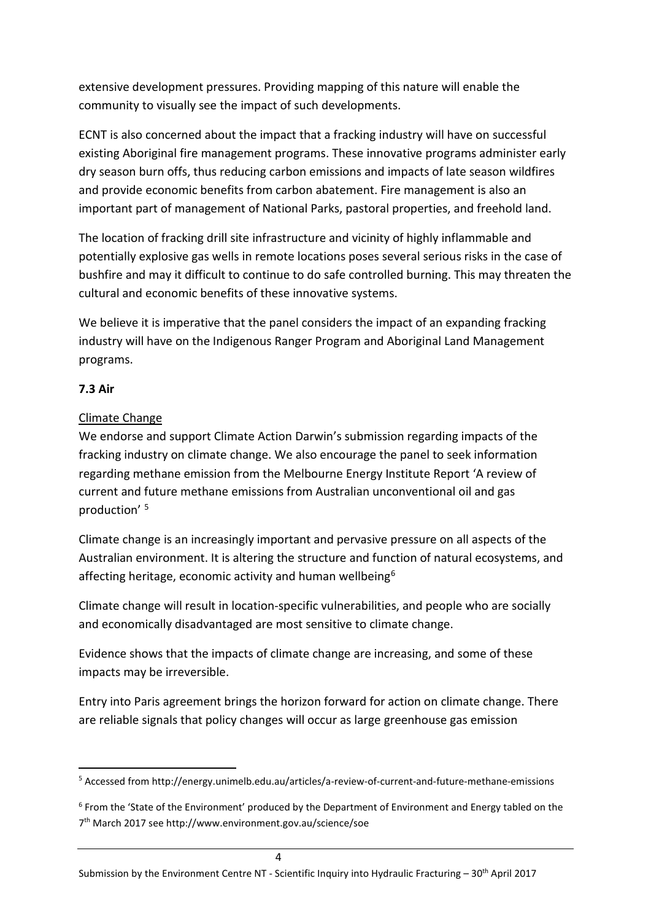extensive development pressures. Providing mapping of this nature will enable the community to visually see the impact of such developments.

ECNT is also concerned about the impact that a fracking industry will have on successful existing Aboriginal fire management programs. These innovative programs administer early dry season burn offs, thus reducing carbon emissions and impacts of late season wildfires and provide economic benefits from carbon abatement. Fire management is also an important part of management of National Parks, pastoral properties, and freehold land.

The location of fracking drill site infrastructure and vicinity of highly inflammable and potentially explosive gas wells in remote locations poses several serious risks in the case of bushfire and may it difficult to continue to do safe controlled burning. This may threaten the cultural and economic benefits of these innovative systems.

We believe it is imperative that the panel considers the impact of an expanding fracking industry will have on the Indigenous Ranger Program and Aboriginal Land Management programs.

## **7.3 Air**

# Climate Change

We endorse and support Climate Action Darwin's submission regarding impacts of the fracking industry on climate change. We also encourage the panel to seek information regarding methane emission from the Melbourne Energy Institute Report 'A review of current and future methane emissions from Australian unconventional oil and gas production' [5](#page-3-0)

Climate change is an increasingly important and pervasive pressure on all aspects of the Australian environment. It is altering the structure and function of natural ecosystems, and affecting heritage, economic activity and human wellbeing<sup>[6](#page-3-1)</sup>

Climate change will result in location-specific vulnerabilities, and people who are socially and economically disadvantaged are most sensitive to climate change.

Evidence shows that the impacts of climate change are increasing, and some of these impacts may be irreversible.

Entry into Paris agreement brings the horizon forward for action on climate change. There are reliable signals that policy changes will occur as large greenhouse gas emission

<span id="page-3-0"></span> <sup>5</sup> Accessed from http://energy.unimelb.edu.au/articles/a-review-of-current-and-future-methane-emissions

<span id="page-3-1"></span> $6$  From the 'State of the Environment' produced by the Department of Environment and Energy tabled on the 7th March 2017 see http://www.environment.gov.au/science/soe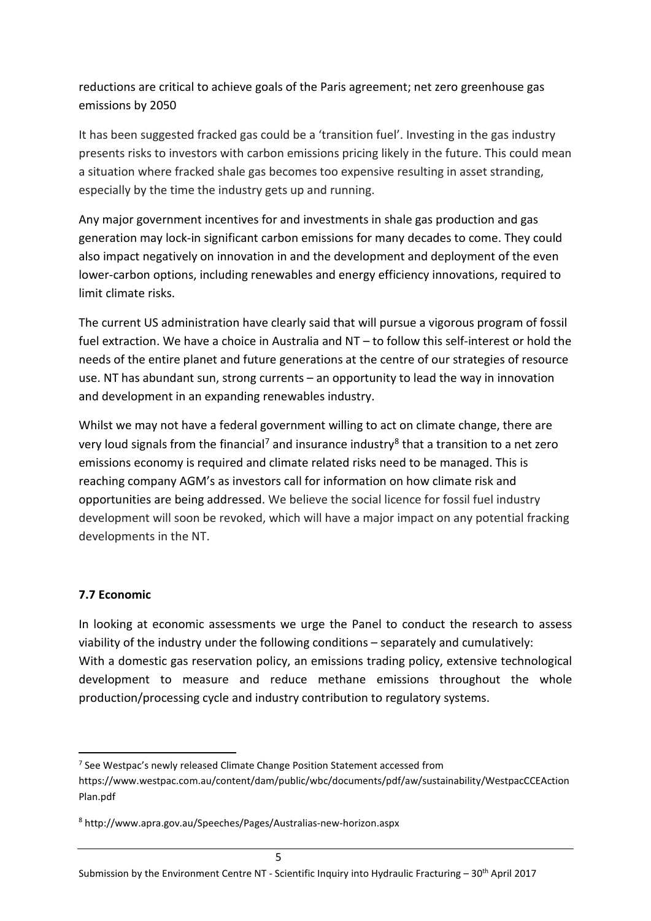reductions are critical to achieve goals of the Paris agreement; net zero greenhouse gas emissions by 2050

It has been suggested fracked gas could be a 'transition fuel'. Investing in the gas industry presents risks to investors with carbon emissions pricing likely in the future. This could mean a situation where fracked shale gas becomes too expensive resulting in asset stranding, especially by the time the industry gets up and running.

Any major government incentives for and investments in shale gas production and gas generation may lock-in significant carbon emissions for many decades to come. They could also impact negatively on innovation in and the development and deployment of the even lower-carbon options, including renewables and energy efficiency innovations, required to limit climate risks.

The current US administration have clearly said that will pursue a vigorous program of fossil fuel extraction. We have a choice in Australia and NT – to follow this self-interest or hold the needs of the entire planet and future generations at the centre of our strategies of resource use. NT has abundant sun, strong currents – an opportunity to lead the way in innovation and development in an expanding renewables industry.

Whilst we may not have a federal government willing to act on climate change, there are very loud signals from the financial<sup>[7](#page-4-0)</sup> and insurance industry<sup>[8](#page-4-1)</sup> that a transition to a net zero emissions economy is required and climate related risks need to be managed. This is reaching company AGM's as investors call for information on how climate risk and opportunities are being addressed. We believe the social licence for fossil fuel industry development will soon be revoked, which will have a major impact on any potential fracking developments in the NT.

#### **7.7 Economic**

In looking at economic assessments we urge the Panel to conduct the research to assess viability of the industry under the following conditions – separately and cumulatively: With a domestic gas reservation policy, an emissions trading policy, extensive technological development to measure and reduce methane emissions throughout the whole production/processing cycle and industry contribution to regulatory systems.

<span id="page-4-0"></span><sup>&</sup>lt;sup>7</sup> See Westpac's newly released Climate Change Position Statement accessed from

https://www.westpac.com.au/content/dam/public/wbc/documents/pdf/aw/sustainability/WestpacCCEAction Plan.pdf

<span id="page-4-1"></span><sup>8</sup> http://www.apra.gov.au/Speeches/Pages/Australias-new-horizon.aspx